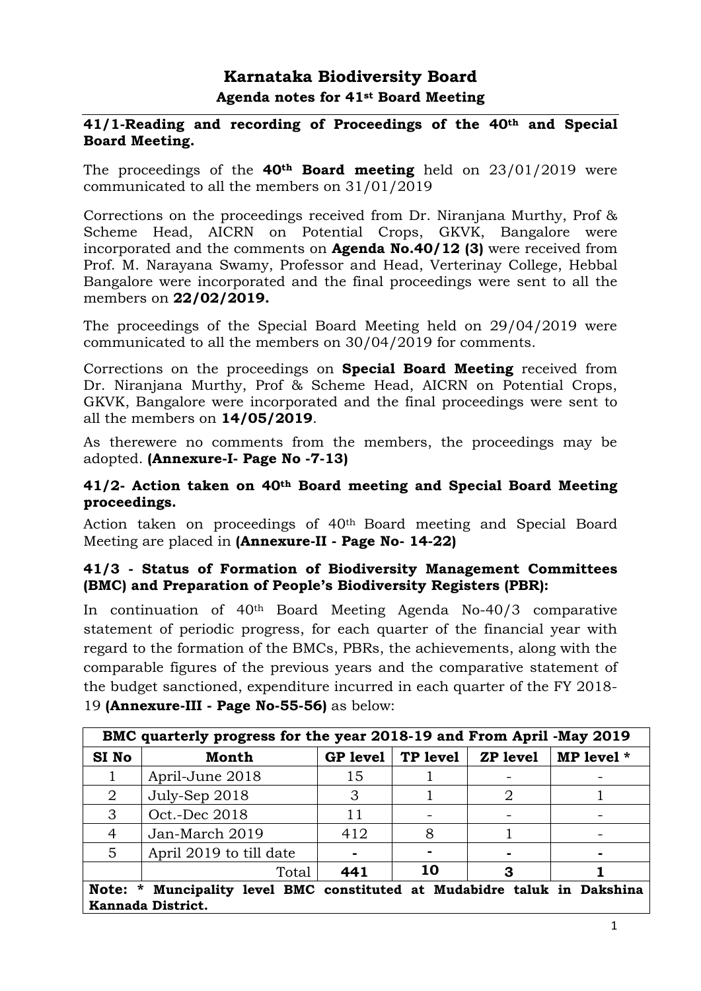# **Karnataka Biodiversity Board Agenda notes for 41st Board Meeting**

#### **41/1-Reading and recording of Proceedings of the 40th and Special Board Meeting.**

The proceedings of the **40th Board meeting** held on 23/01/2019 were communicated to all the members on 31/01/2019

Corrections on the proceedings received from Dr. Niranjana Murthy, Prof & Scheme Head, AICRN on Potential Crops, GKVK, Bangalore were incorporated and the comments on **Agenda No.40/12 (3)** were received from Prof. M. Narayana Swamy, Professor and Head, Verterinay College, Hebbal Bangalore were incorporated and the final proceedings were sent to all the members on **22/02/2019.**

The proceedings of the Special Board Meeting held on 29/04/2019 were communicated to all the members on 30/04/2019 for comments.

Corrections on the proceedings on **Special Board Meeting** received from Dr. Niranjana Murthy, Prof & Scheme Head, AICRN on Potential Crops, GKVK, Bangalore were incorporated and the final proceedings were sent to all the members on **14/05/2019**.

As therewere no comments from the members, the proceedings may be adopted. **(Annexure-I- Page No -7-13)**

#### **41/2- Action taken on 40th Board meeting and Special Board Meeting proceedings.**

Action taken on proceedings of 40th Board meeting and Special Board Meeting are placed in **(Annexure-II - Page No- 14-22)**

### **41/3 - Status of Formation of Biodiversity Management Committees (BMC) and Preparation of People's Biodiversity Registers (PBR):**

In continuation of 40th Board Meeting Agenda No-40/3 comparative statement of periodic progress, for each quarter of the financial year with regard to the formation of the BMCs, PBRs, the achievements, along with the comparable figures of the previous years and the comparative statement of the budget sanctioned, expenditure incurred in each quarter of the FY 2018- 19 **(Annexure-III - Page No-55-56)** as below:

| BMC quarterly progress for the year 2018-19 and From April -May 2019                             |                         |                 |          |                 |            |
|--------------------------------------------------------------------------------------------------|-------------------------|-----------------|----------|-----------------|------------|
| SI No                                                                                            | Month                   | <b>GP</b> level | TP level | <b>ZP</b> level | MP level * |
|                                                                                                  | April-June 2018         | 15              |          |                 |            |
| $\overline{2}$                                                                                   | July-Sep 2018           | 3               |          | 2               |            |
| 3                                                                                                | Oct.-Dec 2018           | 11              |          |                 |            |
| 4                                                                                                | Jan-March 2019          | 412             | 8        |                 |            |
| 5                                                                                                | April 2019 to till date |                 |          |                 |            |
|                                                                                                  | Total                   | 441             | 10       | З               |            |
| Note: *<br>Muncipality level BMC constituted at Mudabidre taluk in Dakshina<br>Kannada District. |                         |                 |          |                 |            |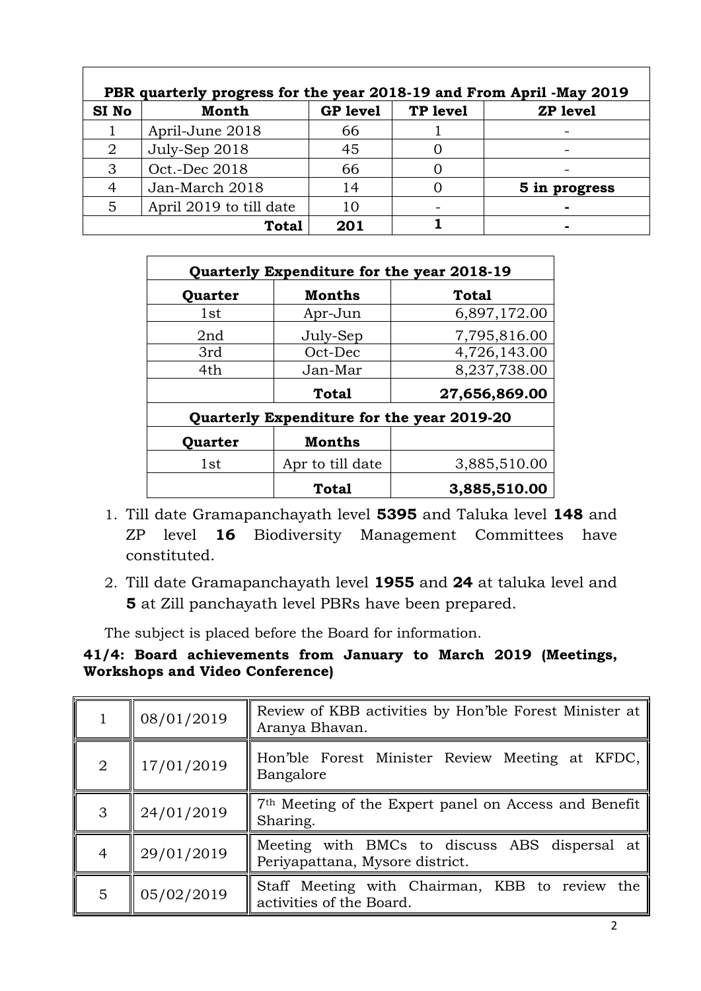| PBR quarterly progress for the year 2018-19 and From April -May 2019 |                         |                 |          |                 |
|----------------------------------------------------------------------|-------------------------|-----------------|----------|-----------------|
| SI <sub>No</sub>                                                     | <b>Month</b>            | <b>GP</b> level | TP level | <b>ZP</b> level |
|                                                                      | April-June 2018         | 66              |          |                 |
| 2                                                                    | July-Sep 2018           | 45              |          |                 |
|                                                                      | Oct.-Dec 2018           | 66              |          |                 |
|                                                                      | Jan-March 2018          | 14              |          | 5 in progress   |
| 5                                                                    | April 2019 to till date |                 |          |                 |
|                                                                      | <b>Total</b>            | 201             |          |                 |

|         | Quarterly Expenditure for the year 2018-19 |               |  |  |  |
|---------|--------------------------------------------|---------------|--|--|--|
| Quarter | <b>Months</b>                              | <b>Total</b>  |  |  |  |
| 1st     | Apr-Jun                                    | 6,897,172.00  |  |  |  |
| 2nd     | July-Sep                                   | 7,795,816.00  |  |  |  |
| 3rd     | Oct-Dec                                    | 4,726,143.00  |  |  |  |
| 4th     | Jan-Mar                                    | 8,237,738.00  |  |  |  |
|         | <b>Total</b>                               | 27,656,869.00 |  |  |  |
|         | Quarterly Expenditure for the year 2019-20 |               |  |  |  |
| Quarter | <b>Months</b>                              |               |  |  |  |
| 1st     | Apr to till date                           | 3,885,510.00  |  |  |  |
|         | <b>Total</b>                               | 3,885,510.00  |  |  |  |

- 1. Till date Gramapanchayath level **5395** and Taluka level **148** and ZP level **16** Biodiversity Management Committees have constituted.
- 2. Till date Gramapanchayath level **1955** and **24** at taluka level and **5** at Zill panchayath level PBRs have been prepared.

The subject is placed before the Board for information.

### **41/4: Board achievements from January to March 2019 (Meetings, Workshops and Video Conference)**

|                | 08/01/2019 | Review of KBB activities by Hon'ble Forest Minister at   <br>Aranya Bhavan.      |
|----------------|------------|----------------------------------------------------------------------------------|
| $\overline{2}$ | 17/01/2019 | Hon'ble Forest Minister Review Meeting at KFDC,<br>Bangalore                     |
| 3              | 24/01/2019 | 7 <sup>th</sup> Meeting of the Expert panel on Access and Benefit<br>Sharing.    |
| 4              | 29/01/2019 | Meeting with BMCs to discuss ABS dispersal at<br>Periyapattana, Mysore district. |
| 5              | 05/02/2019 | Staff Meeting with Chairman, KBB to review the<br>activities of the Board.       |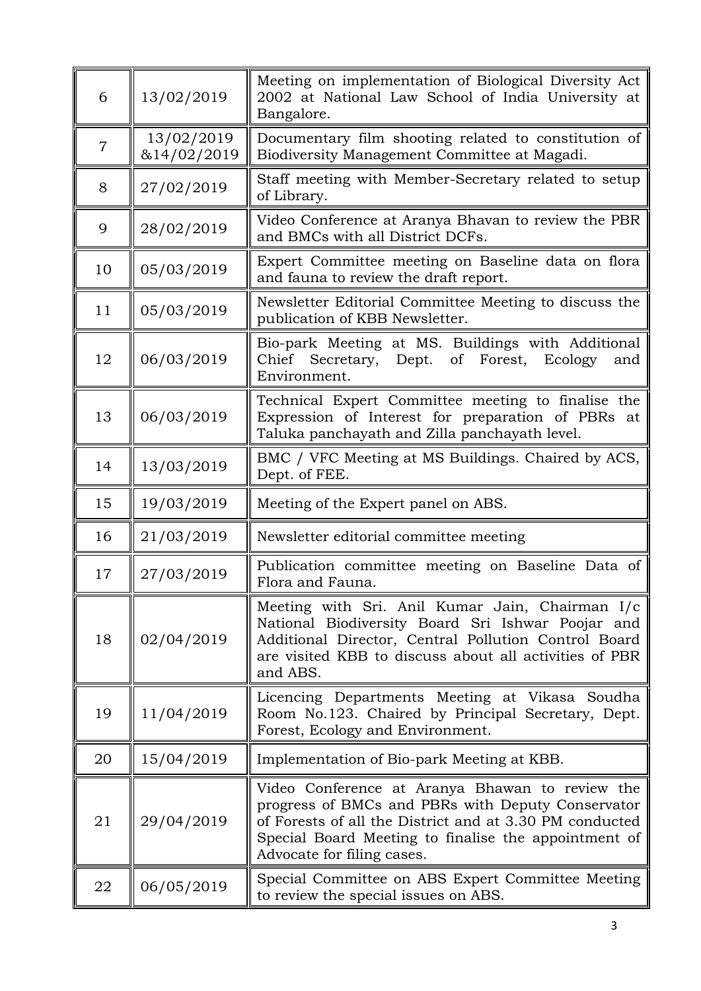| 6              | 13/02/2019                | Meeting on implementation of Biological Diversity Act<br>2002 at National Law School of India University at<br>Bangalore.                                                                                                                             |  |
|----------------|---------------------------|-------------------------------------------------------------------------------------------------------------------------------------------------------------------------------------------------------------------------------------------------------|--|
| $\overline{7}$ | 13/02/2019<br>&14/02/2019 | Documentary film shooting related to constitution of<br>Biodiversity Management Committee at Magadi.                                                                                                                                                  |  |
| 8              | 27/02/2019                | Staff meeting with Member-Secretary related to setup<br>of Library.                                                                                                                                                                                   |  |
| 9              | 28/02/2019                | Video Conference at Aranya Bhavan to review the PBR<br>and BMCs with all District DCFs.                                                                                                                                                               |  |
| 10             | 05/03/2019                | Expert Committee meeting on Baseline data on flora<br>and fauna to review the draft report.                                                                                                                                                           |  |
| 11             | 05/03/2019                | Newsletter Editorial Committee Meeting to discuss the<br>publication of KBB Newsletter.                                                                                                                                                               |  |
| 12             | 06/03/2019                | Bio-park Meeting at MS. Buildings with Additional<br>Secretary, Dept. of Forest,<br>Chief<br>Ecology<br>and<br>Environment.                                                                                                                           |  |
| 13             | 06/03/2019                | Technical Expert Committee meeting to finalise the<br>Expression of Interest for preparation of PBRs at<br>Taluka panchayath and Zilla panchayath level.                                                                                              |  |
| 14             | 13/03/2019                | BMC / VFC Meeting at MS Buildings. Chaired by ACS,<br>Dept. of FEE.                                                                                                                                                                                   |  |
| 15             | 19/03/2019                | Meeting of the Expert panel on ABS.                                                                                                                                                                                                                   |  |
| 16             | 21/03/2019                | Newsletter editorial committee meeting                                                                                                                                                                                                                |  |
| 17             | 27/03/2019                | Publication committee meeting on Baseline Data of<br>Flora and Fauna.                                                                                                                                                                                 |  |
| 18             | 02/04/2019                | Meeting with Sri. Anil Kumar Jain, Chairman I/c<br>National Biodiversity Board Sri Ishwar Poojar and<br>Additional Director, Central Pollution Control Board<br>are visited KBB to discuss about all activities of PBR<br>and ABS.                    |  |
| 19             | 11/04/2019                | Licencing Departments Meeting at Vikasa Soudha<br>Room No.123. Chaired by Principal Secretary, Dept.<br>Forest, Ecology and Environment.                                                                                                              |  |
| 20             | 15/04/2019                | Implementation of Bio-park Meeting at KBB.                                                                                                                                                                                                            |  |
| 21             | 29/04/2019                | Video Conference at Aranya Bhawan to review the<br>progress of BMCs and PBRs with Deputy Conservator<br>of Forests of all the District and at 3.30 PM conducted<br>Special Board Meeting to finalise the appointment of<br>Advocate for filing cases. |  |
|                |                           |                                                                                                                                                                                                                                                       |  |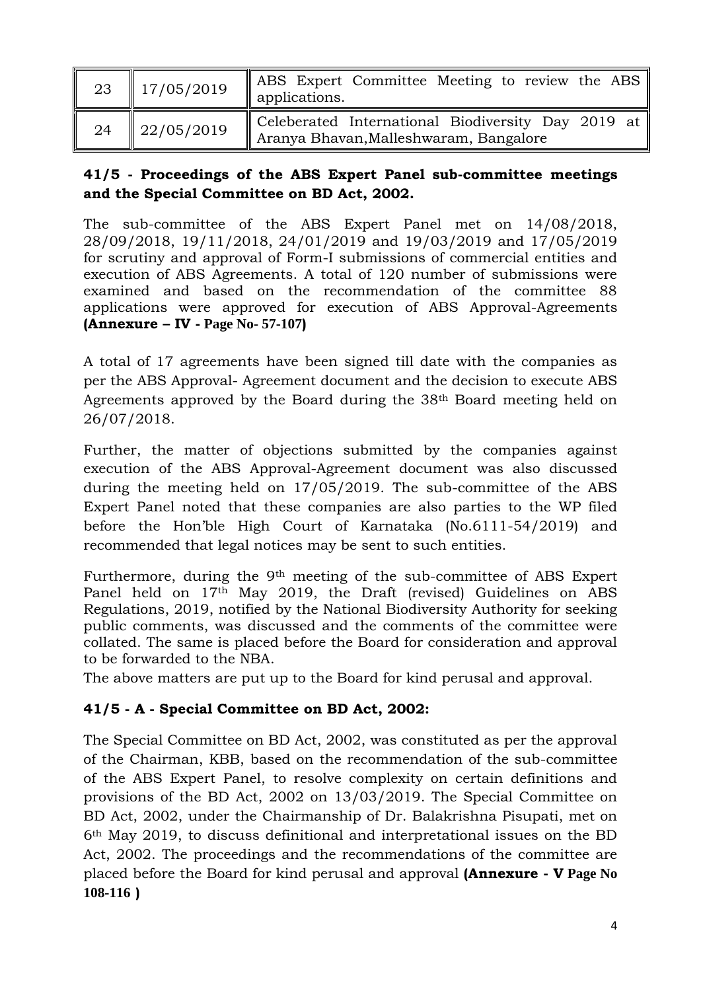|    | 23   $17/05/2019$ | ABS Expert Committee Meeting to review the ABS<br>applications.                              |
|----|-------------------|----------------------------------------------------------------------------------------------|
| 24 | 22/05/2019        | Celeberated International Biodiversity Day 2019 at<br>Aranya Bhavan, Malleshwaram, Bangalore |

### **41/5 - Proceedings of the ABS Expert Panel sub-committee meetings and the Special Committee on BD Act, 2002.**

The sub-committee of the ABS Expert Panel met on 14/08/2018, 28/09/2018, 19/11/2018, 24/01/2019 and 19/03/2019 and 17/05/2019 for scrutiny and approval of Form-I submissions of commercial entities and execution of ABS Agreements. A total of 120 number of submissions were examined and based on the recommendation of the committee 88 applications were approved for execution of ABS Approval-Agreements **(Annexure – IV - Page No- 57-107)**

A total of 17 agreements have been signed till date with the companies as per the ABS Approval- Agreement document and the decision to execute ABS Agreements approved by the Board during the 38th Board meeting held on 26/07/2018.

Further, the matter of objections submitted by the companies against execution of the ABS Approval-Agreement document was also discussed during the meeting held on 17/05/2019. The sub-committee of the ABS Expert Panel noted that these companies are also parties to the WP filed before the Hon'ble High Court of Karnataka (No.6111-54/2019) and recommended that legal notices may be sent to such entities.

Furthermore, during the 9<sup>th</sup> meeting of the sub-committee of ABS Expert Panel held on 17th May 2019, the Draft (revised) Guidelines on ABS Regulations, 2019, notified by the National Biodiversity Authority for seeking public comments, was discussed and the comments of the committee were collated. The same is placed before the Board for consideration and approval to be forwarded to the NBA.

The above matters are put up to the Board for kind perusal and approval.

# **41/5 - A - Special Committee on BD Act, 2002:**

The Special Committee on BD Act, 2002, was constituted as per the approval of the Chairman, KBB, based on the recommendation of the sub-committee of the ABS Expert Panel, to resolve complexity on certain definitions and provisions of the BD Act, 2002 on 13/03/2019. The Special Committee on BD Act, 2002, under the Chairmanship of Dr. Balakrishna Pisupati, met on 6th May 2019, to discuss definitional and interpretational issues on the BD Act, 2002. The proceedings and the recommendations of the committee are placed before the Board for kind perusal and approval **(Annexure - V Page No 108-116 )**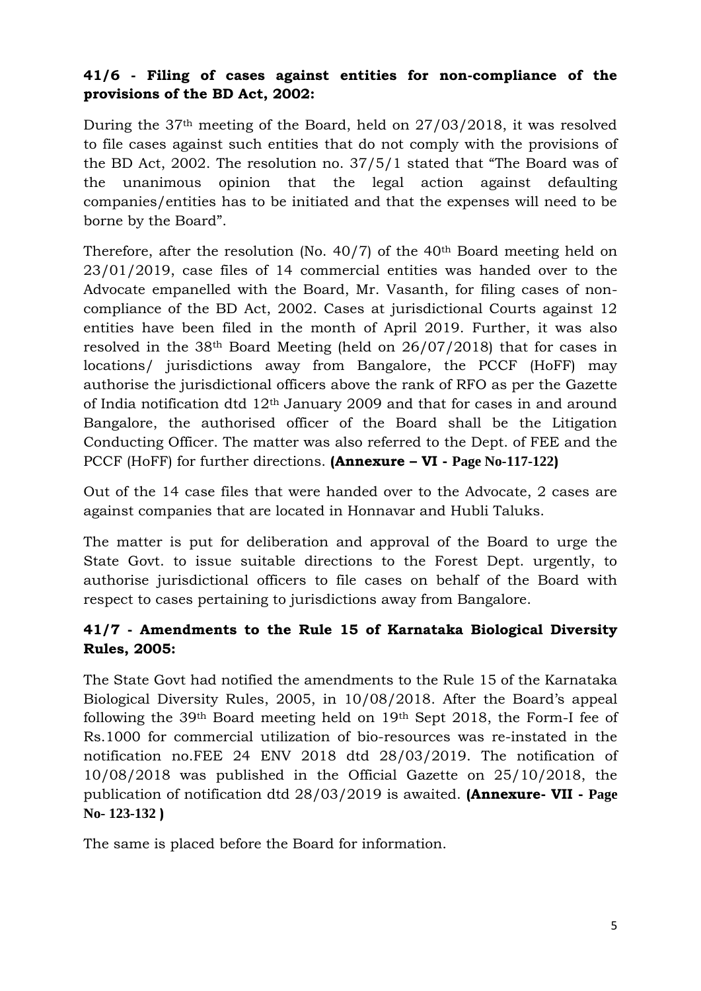### **41/6 - Filing of cases against entities for non-compliance of the provisions of the BD Act, 2002:**

During the 37th meeting of the Board, held on 27/03/2018, it was resolved to file cases against such entities that do not comply with the provisions of the BD Act, 2002. The resolution no. 37/5/1 stated that "The Board was of the unanimous opinion that the legal action against defaulting companies/entities has to be initiated and that the expenses will need to be borne by the Board".

Therefore, after the resolution (No. 40/7) of the 40th Board meeting held on 23/01/2019, case files of 14 commercial entities was handed over to the Advocate empanelled with the Board, Mr. Vasanth, for filing cases of noncompliance of the BD Act, 2002. Cases at jurisdictional Courts against 12 entities have been filed in the month of April 2019. Further, it was also resolved in the 38th Board Meeting (held on 26/07/2018) that for cases in locations/ jurisdictions away from Bangalore, the PCCF (HoFF) may authorise the jurisdictional officers above the rank of RFO as per the Gazette of India notification dtd 12th January 2009 and that for cases in and around Bangalore, the authorised officer of the Board shall be the Litigation Conducting Officer. The matter was also referred to the Dept. of FEE and the PCCF (HoFF) for further directions. **(Annexure – VI - Page No-117-122)**

Out of the 14 case files that were handed over to the Advocate, 2 cases are against companies that are located in Honnavar and Hubli Taluks.

The matter is put for deliberation and approval of the Board to urge the State Govt. to issue suitable directions to the Forest Dept. urgently, to authorise jurisdictional officers to file cases on behalf of the Board with respect to cases pertaining to jurisdictions away from Bangalore.

# **41/7 - Amendments to the Rule 15 of Karnataka Biological Diversity Rules, 2005:**

The State Govt had notified the amendments to the Rule 15 of the Karnataka Biological Diversity Rules, 2005, in 10/08/2018. After the Board's appeal following the 39th Board meeting held on 19th Sept 2018, the Form-I fee of Rs.1000 for commercial utilization of bio-resources was re-instated in the notification no.FEE 24 ENV 2018 dtd 28/03/2019. The notification of 10/08/2018 was published in the Official Gazette on 25/10/2018, the publication of notification dtd 28/03/2019 is awaited. **(Annexure- VII - Page No- 123-132 )**

The same is placed before the Board for information.